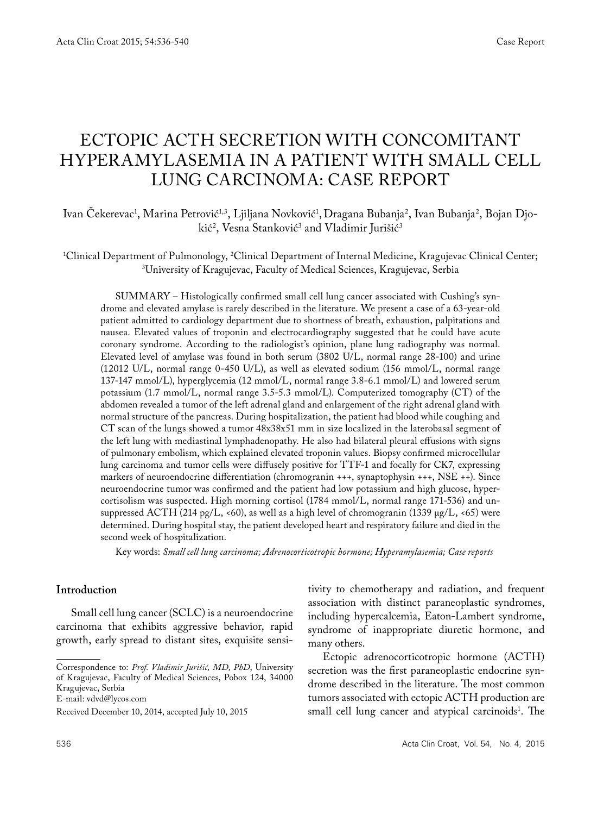# Ectopic ACTH secretion with concomitant hyperamylasemia in a patient with small cell LUNG carcinoma: case report

Ivan Cekerevac<sup>1</sup>, Marina Petrović<sup>1,3</sup>, Ljiljana Novković<sup>1</sup>, Dragana Bubanja<sup>2</sup>, Ivan Bubanja<sup>2</sup>, Bojan Djokić<sup>2</sup>, Vesna Stanković<sup>3</sup> and Vladimir Jurišić<sup>3</sup>

<sup>1</sup>Clinical Department of Pulmonology, <sup>2</sup>Clinical Department of Internal Medicine, Kragujevac Clinical Center;<br><sup>3</sup>University of Kragujevac, Faculty of Medical Sciences, Kragujevac, Serbia University of Kragujevac, Faculty of Medical Sciences, Kragujevac, Serbia

SUMMARY – Histologically confirmed small cell lung cancer associated with Cushing's syndrome and elevated amylase is rarely described in the literature. We present a case of a 63-year-old patient admitted to cardiology department due to shortness of breath, exhaustion, palpitations and nausea. Elevated values of troponin and electrocardiography suggested that he could have acute coronary syndrome. According to the radiologist's opinion, plane lung radiography was normal. Elevated level of amylase was found in both serum (3802 U/L, normal range 28-100) and urine (12012 U/L, normal range 0-450 U/L), as well as elevated sodium (156 mmol/L, normal range 137-147 mmol/L), hyperglycemia (12 mmol/L, normal range 3.8-6.1 mmol/L) and lowered serum potassium (1.7 mmol/L, normal range 3.5-5.3 mmol/L). Computerized tomography (CT) of the abdomen revealed a tumor of the left adrenal gland and enlargement of the right adrenal gland with normal structure of the pancreas. During hospitalization, the patient had blood while coughing and CT scan of the lungs showed a tumor 48x38x51 mm in size localized in the laterobasal segment of the left lung with mediastinal lymphadenopathy. He also had bilateral pleural effusions with signs of pulmonary embolism, which explained elevated troponin values. Biopsy confirmed microcellular lung carcinoma and tumor cells were diffusely positive for TTF-1 and focally for CK7, expressing markers of neuroendocrine differentiation (chromogranin +++, synaptophysin +++, NSE ++). Since neuroendocrine tumor was confirmed and the patient had low potassium and high glucose, hypercortisolism was suspected. High morning cortisol (1784 mmol/L, normal range 171-536) and unsuppressed ACTH (214 pg/L, <60), as well as a high level of chromogranin (1339 μg/L, <65) were determined. During hospital stay, the patient developed heart and respiratory failure and died in the second week of hospitalization.

Key words: *Small cell lung carcinoma; Adrenocorticotropic hormone; Hyperamylasemia; Case reports*

## **Introduction**

Small cell lung cancer (SCLC) is a neuroendocrine carcinoma that exhibits aggressive behavior, rapid growth, early spread to distant sites, exquisite sensi-

Correspondence to: *Prof. Vladimir Jurišić, MD, PhD*, University of Kragujevac, Faculty of Medical Sciences, Pobox 124, 34000 Kragujevac, Serbia

E-mail: vdvd@lycos.com

tivity to chemotherapy and radiation, and frequent association with distinct paraneoplastic syndromes, including hypercalcemia, Eaton-Lambert syndrome, syndrome of inappropriate diuretic hormone, and many others.

Ectopic adrenocorticotropic hormone (ACTH) secretion was the first paraneoplastic endocrine syndrome described in the literature. The most common tumors associated with ectopic ACTH production are small cell lung cancer and atypical carcinoids<sup>1</sup>. The

Received December 10, 2014, accepted July 10, 2015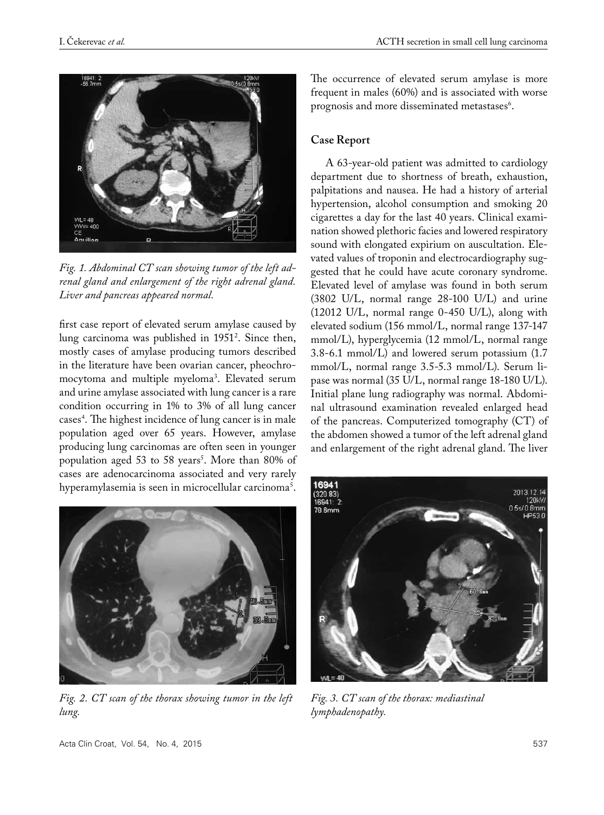

*Fig. 1. Abdominal CT scan showing tumor of the left adrenal gland and enlargement of the right adrenal gland. Liver and pancreas appeared normal.*

first case report of elevated serum amylase caused by lung carcinoma was published in 19512 . Since then, mostly cases of amylase producing tumors described in the literature have been ovarian cancer, pheochromocytoma and multiple myeloma3 . Elevated serum and urine amylase associated with lung cancer is a rare condition occurring in 1% to 3% of all lung cancer cases4 . The highest incidence of lung cancer is in male population aged over 65 years. However, amylase producing lung carcinomas are often seen in younger population aged 53 to 58 years<sup>5</sup>. More than 80% of cases are adenocarcinoma associated and very rarely hyperamylasemia is seen in microcellular carcinoma<sup>5</sup>.



*Fig. 2. CT scan of the thorax showing tumor in the left lung.*

The occurrence of elevated serum amylase is more frequent in males (60%) and is associated with worse prognosis and more disseminated metastases<sup>6</sup>.

## **Case Report**

A 63-year-old patient was admitted to cardiology department due to shortness of breath, exhaustion, palpitations and nausea. He had a history of arterial hypertension, alcohol consumption and smoking 20 cigarettes a day for the last 40 years. Clinical examination showed plethoric facies and lowered respiratory sound with elongated expirium on auscultation. Elevated values of troponin and electrocardiography suggested that he could have acute coronary syndrome. Elevated level of amylase was found in both serum (3802 U/L, normal range 28-100 U/L) and urine (12012 U/L, normal range 0-450 U/L), along with elevated sodium (156 mmol/L, normal range 137-147 mmol/L), hyperglycemia (12 mmol/L, normal range 3.8-6.1 mmol/L) and lowered serum potassium (1.7 mmol/L, normal range 3.5-5.3 mmol/L). Serum lipase was normal (35 U/L, normal range 18-180 U/L). Initial plane lung radiography was normal. Abdominal ultrasound examination revealed enlarged head of the pancreas. Computerized tomography (CT) of the abdomen showed a tumor of the left adrenal gland and enlargement of the right adrenal gland. The liver



*Fig. 3. CT scan of the thorax: mediastinal lymphadenopathy.*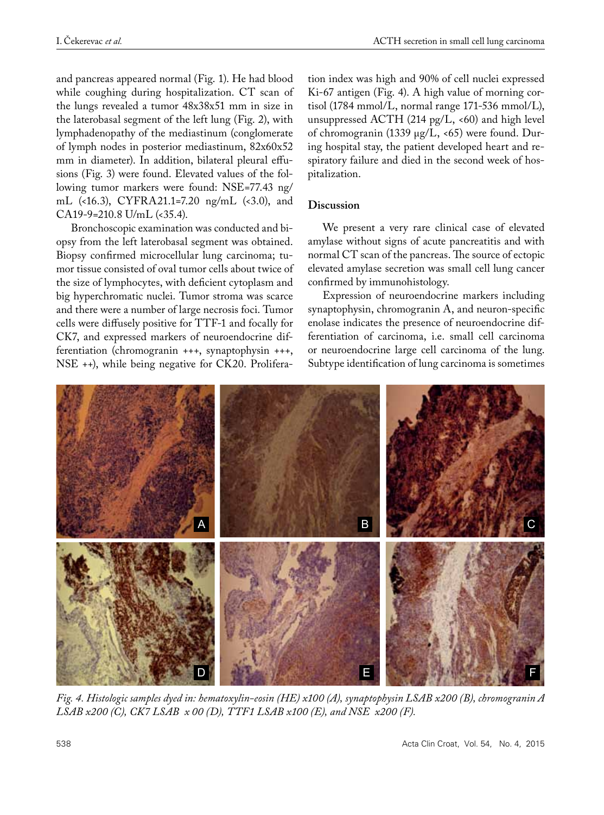and pancreas appeared normal (Fig. 1). He had blood while coughing during hospitalization. CT scan of the lungs revealed a tumor 48x38x51 mm in size in the laterobasal segment of the left lung (Fig. 2), with lymphadenopathy of the mediastinum (conglomerate of lymph nodes in posterior mediastinum, 82x60x52 mm in diameter). In addition, bilateral pleural effusions (Fig. 3) were found. Elevated values of the following tumor markers were found: NSE=77.43 ng/ mL (<16.3), CYFRA21.1=7.20 ng/mL (<3.0), and CA19-9=210.8 U/mL (<35.4).

Bronchoscopic examination was conducted and biopsy from the left laterobasal segment was obtained. Biopsy confirmed microcellular lung carcinoma; tumor tissue consisted of oval tumor cells about twice of the size of lymphocytes, with deficient cytoplasm and big hyperchromatic nuclei. Tumor stroma was scarce and there were a number of large necrosis foci. Tumor cells were diffusely positive for TTF-1 and focally for CK7, and expressed markers of neuroendocrine differentiation (chromogranin +++, synaptophysin +++, NSE ++), while being negative for CK20. Proliferation index was high and 90% of cell nuclei expressed Ki-67 antigen (Fig. 4). A high value of morning cortisol (1784 mmol/L, normal range 171-536 mmol/L), unsuppressed ACTH (214 pg/L,  $\lt 60$ ) and high level of chromogranin (1339 μg/L, <65) were found. During hospital stay, the patient developed heart and respiratory failure and died in the second week of hospitalization.

# **Discussion**

We present a very rare clinical case of elevated amylase without signs of acute pancreatitis and with normal CT scan of the pancreas. The source of ectopic elevated amylase secretion was small cell lung cancer confirmed by immunohistology.

Expression of neuroendocrine markers including synaptophysin, chromogranin A, and neuron-specific enolase indicates the presence of neuroendocrine differentiation of carcinoma, i.e. small cell carcinoma or neuroendocrine large cell carcinoma of the lung. Subtype identification of lung carcinoma is sometimes



*Fig. 4. Histologic samples dyed in: hematoxylin-eosin (HE) x100 (A), synaptophysin LSAB x200 (B), chromogranin A LSAB x200 (C), CK7 LSAB x 00 (D), TTF1 LSAB x100 (E), and NSE x200 (F).*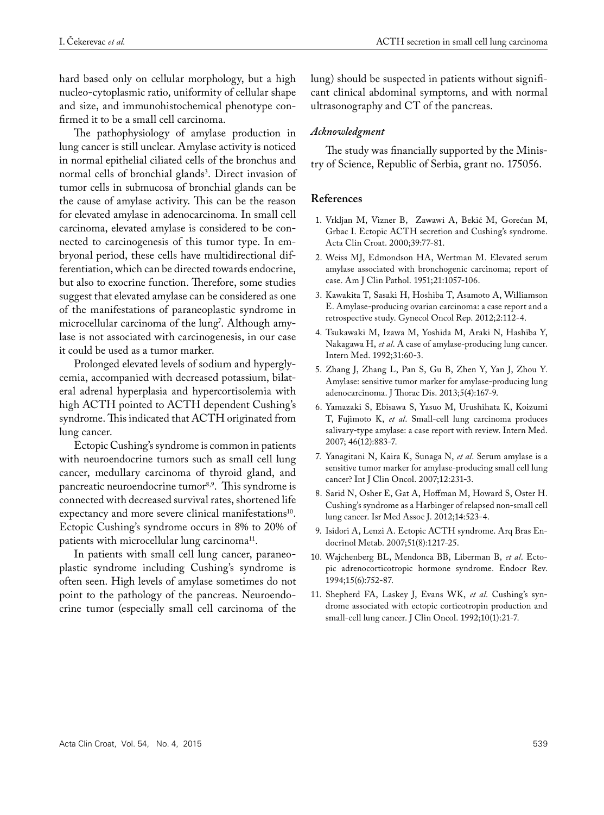hard based only on cellular morphology, but a high nucleo-cytoplasmic ratio, uniformity of cellular shape and size, and immunohistochemical phenotype confirmed it to be a small cell carcinoma.

The pathophysiology of amylase production in lung cancer is still unclear. Amylase activity is noticed in normal epithelial ciliated cells of the bronchus and normal cells of bronchial glands<sup>3</sup>. Direct invasion of tumor cells in submucosa of bronchial glands can be the cause of amylase activity. This can be the reason for elevated amylase in adenocarcinoma. In small cell carcinoma, elevated amylase is considered to be connected to carcinogenesis of this tumor type. In embryonal period, these cells have multidirectional differentiation, which can be directed towards endocrine, but also to exocrine function. Therefore, some studies suggest that elevated amylase can be considered as one of the manifestations of paraneoplastic syndrome in microcellular carcinoma of the lung'. Although amylase is not associated with carcinogenesis, in our case it could be used as a tumor marker.

Prolonged elevated levels of sodium and hyperglycemia, accompanied with decreased potassium, bilateral adrenal hyperplasia and hypercortisolemia with high ACTH pointed to ACTH dependent Cushing's syndrome. This indicated that ACTH originated from lung cancer.

Ectopic Cushing's syndrome is common in patients with neuroendocrine tumors such as small cell lung cancer, medullary carcinoma of thyroid gland, and pancreatic neuroendocrine tumor<sup>8,9</sup>. This syndrome is connected with decreased survival rates, shortened life expectancy and more severe clinical manifestations<sup>10</sup>. Ectopic Cushing's syndrome occurs in 8% to 20% of patients with microcellular lung carcinoma<sup>11</sup>.

In patients with small cell lung cancer, paraneoplastic syndrome including Cushing's syndrome is often seen. High levels of amylase sometimes do not point to the pathology of the pancreas. Neuroendocrine tumor (especially small cell carcinoma of the

lung) should be suspected in patients without significant clinical abdominal symptoms, and with normal ultrasonography and CT of the pancreas.

## *Acknowledgment*

The study was financially supported by the Ministry of Science, Republic of Serbia, grant no. 175056.

## **References**

- 1. Vrkljan M, Vizner B, Zawawi A, Bekić M, Gorećan M, Grbac I. Ectopic ACTH secretion and Cushing's syndrome. Acta Clin Croat. 2000;39:77-81.
- 2. Weiss MJ, Edmondson HA, Wertman M. Elevated serum amylase associated with bronchogenic carcinoma; report of case. Am J Clin Pathol. 1951;21:1057-106.
- 3. Kawakita T, Sasaki H, Hoshiba T, Asamoto A, Williamson E. Amylase-producing ovarian carcinoma: a case report and a retrospective study. Gynecol Oncol Rep. 2012;2:112-4.
- 4. Tsukawaki M, Izawa M, Yoshida M, Araki N, Hashiba Y, Nakagawa H, *et al*. A case of amylase-producing lung cancer. Intern Med. 1992;31:60-3.
- 5. Zhang J, Zhang L, Pan S, Gu B, Zhen Y, Yan J, Zhou Y. Amylase: sensitive tumor marker for amylase-producing lung adenocarcinoma. J Thorac Dis. 2013;5(4):167-9.
- 6. Yamazaki S, Ebisawa S, Yasuo M, Urushihata K, Koizumi T, Fujimoto K, *et al*. Small-cell lung carcinoma produces salivary-type amylase: a case report with review. Intern Med. 2007; 46(12):883-7.
- 7. Yanagitani N, Kaira K, Sunaga N, *et al*. Serum amylase is a sensitive tumor marker for amylase-producing small cell lung cancer? Int J Clin Oncol. 2007;12:231-3.
- 8. Sarid N, Osher E, Gat A, Hoffman M, Howard S, Oster H. Cushing's syndrome as a Harbinger of relapsed non-small cell lung cancer. Isr Med Assoc J. 2012;14:523-4.
- 9. Isidori A, Lenzi A. Ectopic ACTH syndrome. Arq Bras Endocrinol Metab. 2007;51(8):1217-25.
- 10. Wajchenberg BL, Mendonca BB, Liberman B, *et al*. Ectopic adrenocorticotropic hormone syndrome. Endocr Rev. 1994;15(6):752-87.
- 11. Shepherd FA, Laskey J, Evans WK, *et al*. Cushing's syndrome associated with ectopic corticotropin production and small-cell lung cancer. J Clin Oncol. 1992;10(1):21-7.